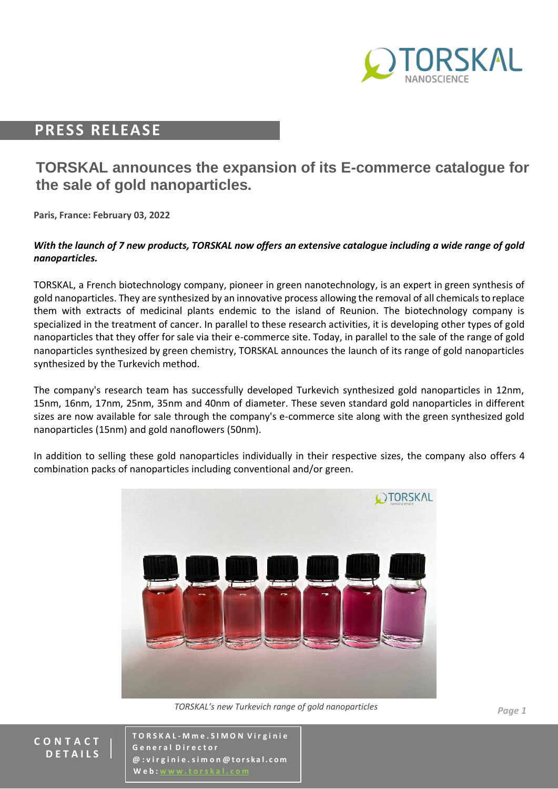

## **PRESS RELEASE**

# **TORSKAL announces the expansion of its E-commerce catalogue for the sale of gold nanoparticles.**

**Paris, France: February 03, 2022**

#### *With the launch of 7 new products, TORSKAL now offers an extensive catalogue including a wide range of gold nanoparticles.*

TORSKAL, a French biotechnology company, pioneer in green nanotechnology, is an expert in green synthesis of gold nanoparticles. They are synthesized by an innovative process allowing the removal of all chemicals to replace them with extracts of medicinal plants endemic to the island of Reunion. The biotechnology company is specialized in the treatment of cancer. In parallel to these research activities, it is developing other types of gold nanoparticles that they offer for sale via their e-commerce site. Today, in parallel to the sale of the range of gold nanoparticles synthesized by green chemistry, TORSKAL announces the launch of its range of gold nanoparticles synthesized by the Turkevich method.

The company's research team has successfully developed Turkevich synthesized gold nanoparticles in 12nm, 15nm, 16nm, 17nm, 25nm, 35nm and 40nm of diameter. These seven standard gold nanoparticles in different sizes are now available for sale through the company's e-commerce site along with the green synthesized gold nanoparticles (15nm) and gold nanoflowers (50nm).

In addition to selling these gold nanoparticles individually in their respective sizes, the company also offers 4 combination packs of nanoparticles including conventional and/or green.



*TORSKAL's new Turkevich range of gold nanoparticles*

**C O N T A C T D E T A I L S**

**T O R S K A L - M m e . S I M O N V i r g i n i e G e n e r a l D i r e c t o r @ : v i r g i n i e . s i m o n @ t o rs k a l . c o m W** e **b** :